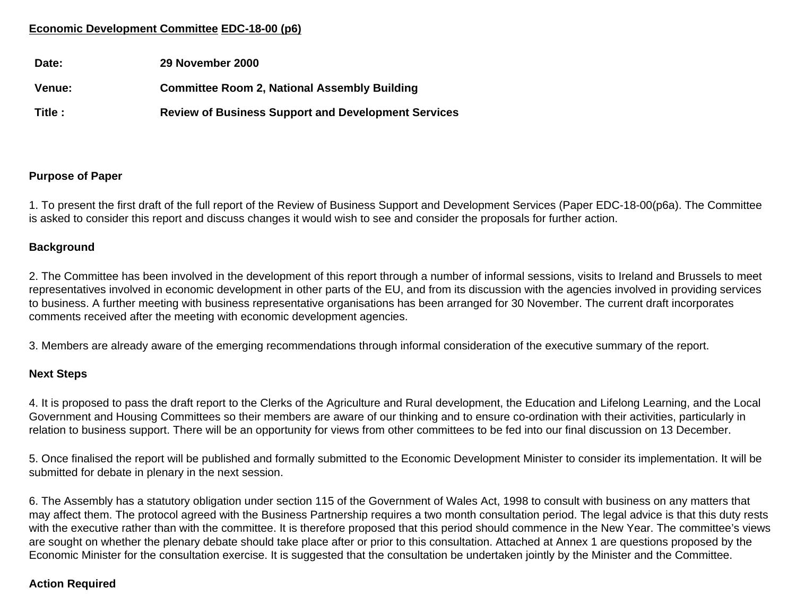# **Economic Development Committee EDC-18-00 (p6)**

| Date:         | 29 November 2000                                           |
|---------------|------------------------------------------------------------|
| <b>Venue:</b> | <b>Committee Room 2, National Assembly Building</b>        |
| Title :       | <b>Review of Business Support and Development Services</b> |

#### **Purpose of Paper**

1. To present the first draft of the full report of the Review of Business Support and Development Services (Paper EDC-18-00(p6a). The Committee is asked to consider this report and discuss changes it would wish to see and consider the proposals for further action.

### **Background**

2. The Committee has been involved in the development of this report through a number of informal sessions, visits to Ireland and Brussels to meet representatives involved in economic development in other parts of the EU, and from its discussion with the agencies involved in providing services to business. A further meeting with business representative organisations has been arranged for 30 November. The current draft incorporates comments received after the meeting with economic development agencies.

3. Members are already aware of the emerging recommendations through informal consideration of the executive summary of the report.

#### **Next Steps**

4. It is proposed to pass the draft report to the Clerks of the Agriculture and Rural development, the Education and Lifelong Learning, and the Local Government and Housing Committees so their members are aware of our thinking and to ensure co-ordination with their activities, particularly in relation to business support. There will be an opportunity for views from other committees to be fed into our final discussion on 13 December.

5. Once finalised the report will be published and formally submitted to the Economic Development Minister to consider its implementation. It will be submitted for debate in plenary in the next session.

6. The Assembly has a statutory obligation under section 115 of the Government of Wales Act, 1998 to consult with business on any matters that may affect them. The protocol agreed with the Business Partnership requires a two month consultation period. The legal advice is that this duty rests with the executive rather than with the committee. It is therefore proposed that this period should commence in the New Year. The committee's views are sought on whether the plenary debate should take place after or prior to this consultation. Attached at Annex 1 are questions proposed by the Economic Minister for the consultation exercise. It is suggested that the consultation be undertaken jointly by the Minister and the Committee.

#### **Action Required**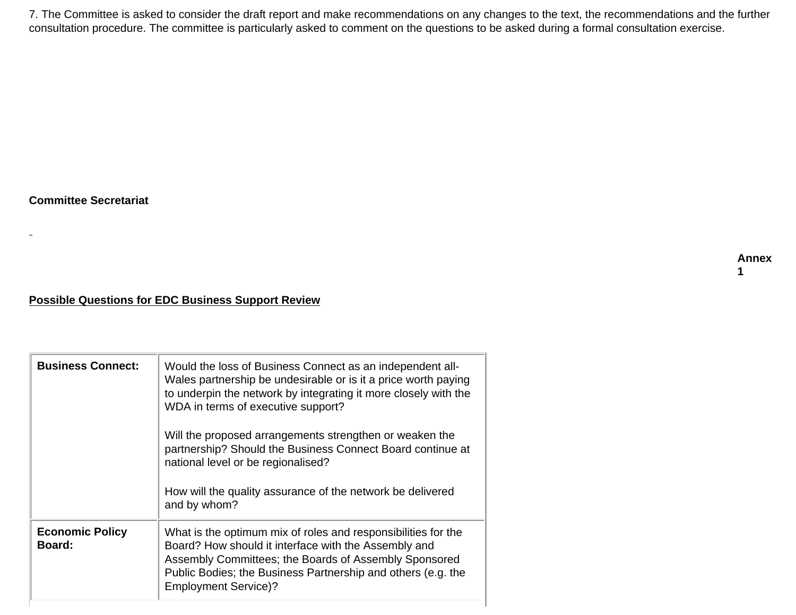7. The Committee is asked to consider the draft report and make recommendations on any changes to the text, the recommendations and the further consultation procedure. The committee is particularly asked to comment on the questions to be asked during a formal consultation exercise.

## **Committee Secretariat**

 $\overline{\phantom{a}}$ 

# **Possible Questions for EDC Business Support Review**

| <b>Business Connect:</b>                | Would the loss of Business Connect as an independent all-<br>Wales partnership be undesirable or is it a price worth paying<br>to underpin the network by integrating it more closely with the<br>WDA in terms of executive support?<br>Will the proposed arrangements strengthen or weaken the<br>partnership? Should the Business Connect Board continue at<br>national level or be regionalised?<br>How will the quality assurance of the network be delivered<br>and by whom? |
|-----------------------------------------|-----------------------------------------------------------------------------------------------------------------------------------------------------------------------------------------------------------------------------------------------------------------------------------------------------------------------------------------------------------------------------------------------------------------------------------------------------------------------------------|
| <b>Economic Policy</b><br><b>Board:</b> | What is the optimum mix of roles and responsibilities for the<br>Board? How should it interface with the Assembly and<br>Assembly Committees; the Boards of Assembly Sponsored<br>Public Bodies; the Business Partnership and others (e.g. the<br><b>Employment Service)?</b>                                                                                                                                                                                                     |

**Annex 1**